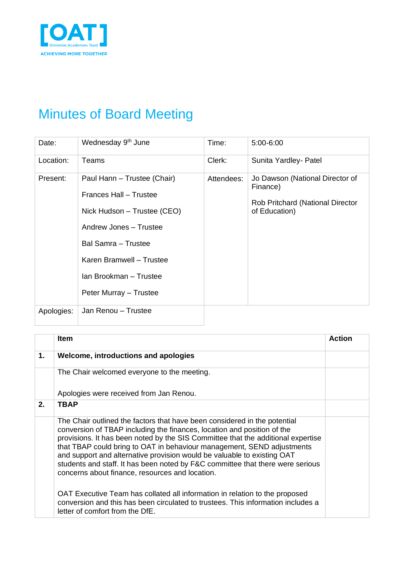

# Minutes of Board Meeting

| Date:      | Wednesday 9 <sup>th</sup> June                                                                                                                                                                                        | Time:      | $5:00 - 6:00$                                                                                           |
|------------|-----------------------------------------------------------------------------------------------------------------------------------------------------------------------------------------------------------------------|------------|---------------------------------------------------------------------------------------------------------|
| Location:  | Teams                                                                                                                                                                                                                 | Clerk:     | Sunita Yardley- Patel                                                                                   |
| Present:   | Paul Hann - Trustee (Chair)<br>Frances Hall - Trustee<br>Nick Hudson – Trustee (CEO)<br>Andrew Jones - Trustee<br>Bal Samra - Trustee<br>Karen Bramwell - Trustee<br>Ian Brookman - Trustee<br>Peter Murray - Trustee | Attendees: | Jo Dawson (National Director of<br>Finance)<br><b>Rob Pritchard (National Director</b><br>of Education) |
| Apologies: | Jan Renou - Trustee                                                                                                                                                                                                   |            |                                                                                                         |

|    | <b>Item</b>                                                                                                                                                                                                                                                                                                                                                                                                                                                                                                                                                                                                                                                                                                                              | <b>Action</b> |
|----|------------------------------------------------------------------------------------------------------------------------------------------------------------------------------------------------------------------------------------------------------------------------------------------------------------------------------------------------------------------------------------------------------------------------------------------------------------------------------------------------------------------------------------------------------------------------------------------------------------------------------------------------------------------------------------------------------------------------------------------|---------------|
| 1. | Welcome, introductions and apologies                                                                                                                                                                                                                                                                                                                                                                                                                                                                                                                                                                                                                                                                                                     |               |
|    | The Chair welcomed everyone to the meeting.                                                                                                                                                                                                                                                                                                                                                                                                                                                                                                                                                                                                                                                                                              |               |
|    | Apologies were received from Jan Renou.                                                                                                                                                                                                                                                                                                                                                                                                                                                                                                                                                                                                                                                                                                  |               |
| 2. | <b>TBAP</b>                                                                                                                                                                                                                                                                                                                                                                                                                                                                                                                                                                                                                                                                                                                              |               |
|    | The Chair outlined the factors that have been considered in the potential<br>conversion of TBAP including the finances, location and position of the<br>provisions. It has been noted by the SIS Committee that the additional expertise<br>that TBAP could bring to OAT in behaviour management, SEND adjustments<br>and support and alternative provision would be valuable to existing OAT<br>students and staff. It has been noted by F&C committee that there were serious<br>concerns about finance, resources and location.<br>OAT Executive Team has collated all information in relation to the proposed<br>conversion and this has been circulated to trustees. This information includes a<br>letter of comfort from the DfE. |               |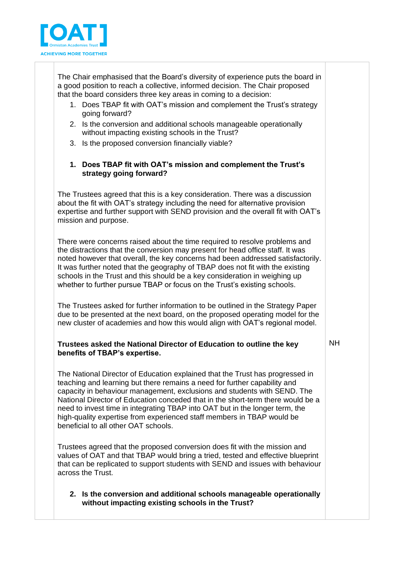

The Chair emphasised that the Board's diversity of experience puts the board in a good position to reach a collective, informed decision. The Chair proposed that the board considers three key areas in coming to a decision:

- 1. Does TBAP fit with OAT's mission and complement the Trust's strategy going forward?
- 2. Is the conversion and additional schools manageable operationally without impacting existing schools in the Trust?
- 3. Is the proposed conversion financially viable?

### **1. Does TBAP fit with OAT's mission and complement the Trust's strategy going forward?**

The Trustees agreed that this is a key consideration. There was a discussion about the fit with OAT's strategy including the need for alternative provision expertise and further support with SEND provision and the overall fit with OAT's mission and purpose.

There were concerns raised about the time required to resolve problems and the distractions that the conversion may present for head office staff. It was noted however that overall, the key concerns had been addressed satisfactorily. It was further noted that the geography of TBAP does not fit with the existing schools in the Trust and this should be a key consideration in weighing up whether to further pursue TBAP or focus on the Trust's existing schools.

The Trustees asked for further information to be outlined in the Strategy Paper due to be presented at the next board, on the proposed operating model for the new cluster of academies and how this would align with OAT's regional model.

#### **Trustees asked the National Director of Education to outline the key benefits of TBAP's expertise.**

NH

The National Director of Education explained that the Trust has progressed in teaching and learning but there remains a need for further capability and capacity in behaviour management, exclusions and students with SEND. The National Director of Education conceded that in the short-term there would be a need to invest time in integrating TBAP into OAT but in the longer term, the high-quality expertise from experienced staff members in TBAP would be beneficial to all other OAT schools.

Trustees agreed that the proposed conversion does fit with the mission and values of OAT and that TBAP would bring a tried, tested and effective blueprint that can be replicated to support students with SEND and issues with behaviour across the Trust.

**2. Is the conversion and additional schools manageable operationally without impacting existing schools in the Trust?**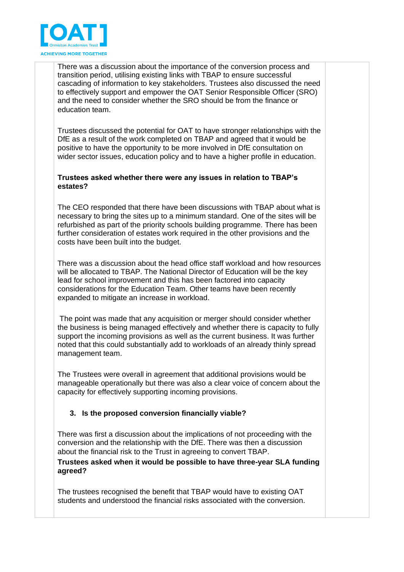

There was a discussion about the importance of the conversion process and transition period, utilising existing links with TBAP to ensure successful cascading of information to key stakeholders. Trustees also discussed the need to effectively support and empower the OAT Senior Responsible Officer (SRO) and the need to consider whether the SRO should be from the finance or education team.

Trustees discussed the potential for OAT to have stronger relationships with the DfE as a result of the work completed on TBAP and agreed that it would be positive to have the opportunity to be more involved in DfE consultation on wider sector issues, education policy and to have a higher profile in education.

#### **Trustees asked whether there were any issues in relation to TBAP's estates?**

The CEO responded that there have been discussions with TBAP about what is necessary to bring the sites up to a minimum standard. One of the sites will be refurbished as part of the priority schools building programme. There has been further consideration of estates work required in the other provisions and the costs have been built into the budget.

There was a discussion about the head office staff workload and how resources will be allocated to TBAP. The National Director of Education will be the key lead for school improvement and this has been factored into capacity considerations for the Education Team. Other teams have been recently expanded to mitigate an increase in workload.

The point was made that any acquisition or merger should consider whether the business is being managed effectively and whether there is capacity to fully support the incoming provisions as well as the current business. It was further noted that this could substantially add to workloads of an already thinly spread management team.

The Trustees were overall in agreement that additional provisions would be manageable operationally but there was also a clear voice of concern about the capacity for effectively supporting incoming provisions.

## **3. Is the proposed conversion financially viable?**

There was first a discussion about the implications of not proceeding with the conversion and the relationship with the DfE. There was then a discussion about the financial risk to the Trust in agreeing to convert TBAP.

**Trustees asked when it would be possible to have three-year SLA funding agreed?**

The trustees recognised the benefit that TBAP would have to existing OAT students and understood the financial risks associated with the conversion.